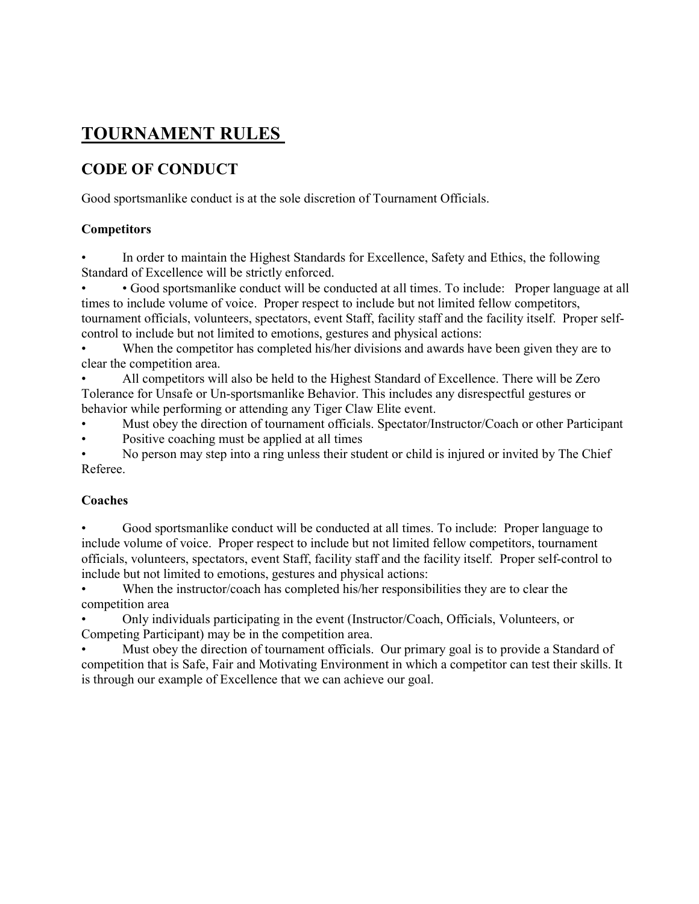### TOURNAMENT RULES

### CODE OF CONDUCT

Good sportsmanlike conduct is at the sole discretion of Tournament Officials.

### **Competitors**

• In order to maintain the Highest Standards for Excellence, Safety and Ethics, the following Standard of Excellence will be strictly enforced.

• • Good sportsmanlike conduct will be conducted at all times. To include: Proper language at all times to include volume of voice. Proper respect to include but not limited fellow competitors, tournament officials, volunteers, spectators, event Staff, facility staff and the facility itself. Proper selfcontrol to include but not limited to emotions, gestures and physical actions:

When the competitor has completed his/her divisions and awards have been given they are to clear the competition area.

• All competitors will also be held to the Highest Standard of Excellence. There will be Zero Tolerance for Unsafe or Un-sportsmanlike Behavior. This includes any disrespectful gestures or behavior while performing or attending any Tiger Claw Elite event.

• Must obey the direction of tournament officials. Spectator/Instructor/Coach or other Participant

Positive coaching must be applied at all times

• No person may step into a ring unless their student or child is injured or invited by The Chief Referee.

### Coaches

• Good sportsmanlike conduct will be conducted at all times. To include: Proper language to include volume of voice. Proper respect to include but not limited fellow competitors, tournament officials, volunteers, spectators, event Staff, facility staff and the facility itself. Proper self-control to include but not limited to emotions, gestures and physical actions:

When the instructor/coach has completed his/her responsibilities they are to clear the competition area

• Only individuals participating in the event (Instructor/Coach, Officials, Volunteers, or Competing Participant) may be in the competition area.

Must obey the direction of tournament officials. Our primary goal is to provide a Standard of competition that is Safe, Fair and Motivating Environment in which a competitor can test their skills. It is through our example of Excellence that we can achieve our goal.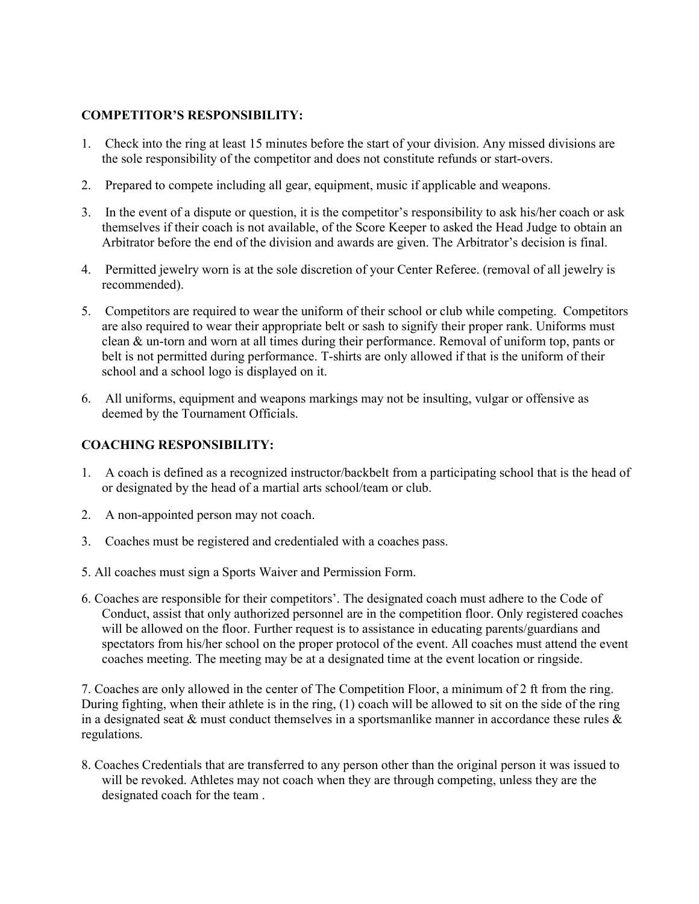### COMPETITOR'S RESPONSIBILITY:

- 1. Check into the ring at least 15 minutes before the start of your division. Any missed divisions are the sole responsibility of the competitor and does not constitute refunds or start-overs.
- 2. Prepared to compete including all gear, equipment, music if applicable and weapons.
- 3. In the event of a dispute or question, it is the competitor's responsibility to ask his/her coach or ask themselves if their coach is not available, of the Score Keeper to asked the Head Judge to obtain an Arbitrator before the end of the division and awards are given. The Arbitrator's decision is final.
- 4. Permitted jewelry worn is at the sole discretion of your Center Referee. (removal of all jewelry is recommended).
- 5. Competitors are required to wear the uniform of their school or club while competing. Competitors are also required to wear their appropriate belt or sash to signify their proper rank. Uniforms must clean & un-torn and worn at all times during their performance. Removal of uniform top, pants or belt is not permitted during performance. T-shirts are only allowed if that is the uniform of their school and a school logo is displayed on it.
- 6. All uniforms, equipment and weapons markings may not be insulting, vulgar or offensive as deemed by the Tournament Officials.

### COACHING RESPONSIBILITY:

- 1. A coach is defined as a recognized instructor/backbelt from a participating school that is the head of or designated by the head of a martial arts school/team or club.
- 2. A non-appointed person may not coach.
- 3. Coaches must be registered and credentialed with a coaches pass.
- 5. All coaches must sign a Sports Waiver and Permission Form.
- 6. Coaches are responsible for their competitors'. The designated coach must adhere to the Code of Conduct, assist that only authorized personnel are in the competition floor. Only registered coaches will be allowed on the floor. Further request is to assistance in educating parents/guardians and spectators from his/her school on the proper protocol of the event. All coaches must attend the event coaches meeting. The meeting may be at a designated time at the event location or ringside.

7. Coaches are only allowed in the center of The Competition Floor, a minimum of 2 ft from the ring. During fighting, when their athlete is in the ring, (1) coach will be allowed to sit on the side of the ring in a designated seat & must conduct themselves in a sportsmanlike manner in accordance these rules  $\&$ regulations.

8. Coaches Credentials that are transferred to any person other than the original person it was issued to will be revoked. Athletes may not coach when they are through competing, unless they are the designated coach for the team .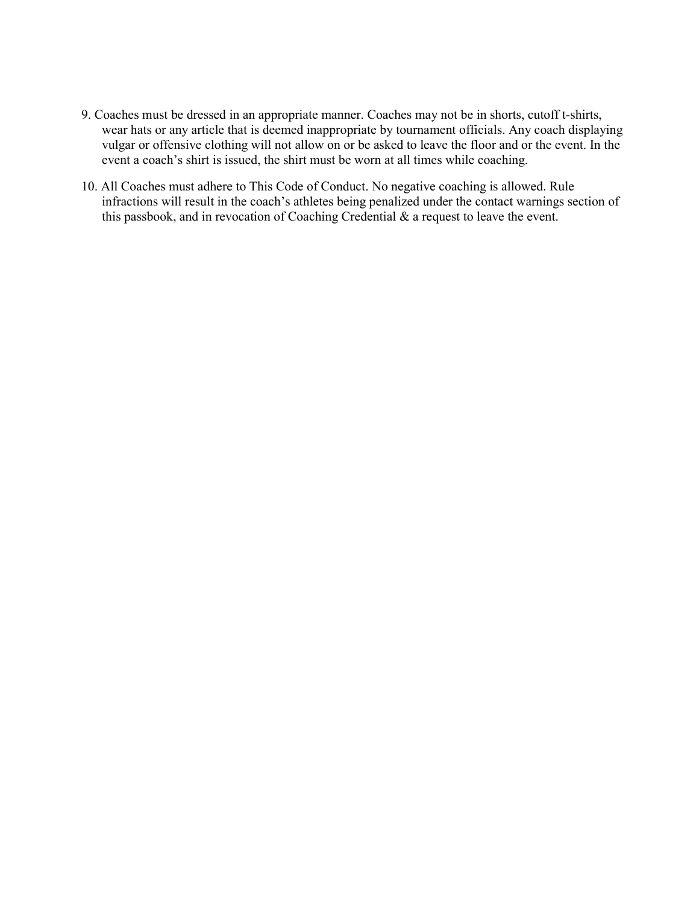- 9. Coaches must be dressed in an appropriate manner. Coaches may not be in shorts, cutoff t-shirts, wear hats or any article that is deemed inappropriate by tournament officials. Any coach displaying vulgar or offensive clothing will not allow on or be asked to leave the floor and or the event. In the event a coach's shirt is issued, the shirt must be worn at all times while coaching.
- 10. All Coaches must adhere to This Code of Conduct. No negative coaching is allowed. Rule infractions will result in the coach's athletes being penalized under the contact warnings section of this passbook, and in revocation of Coaching Credential & a request to leave the event.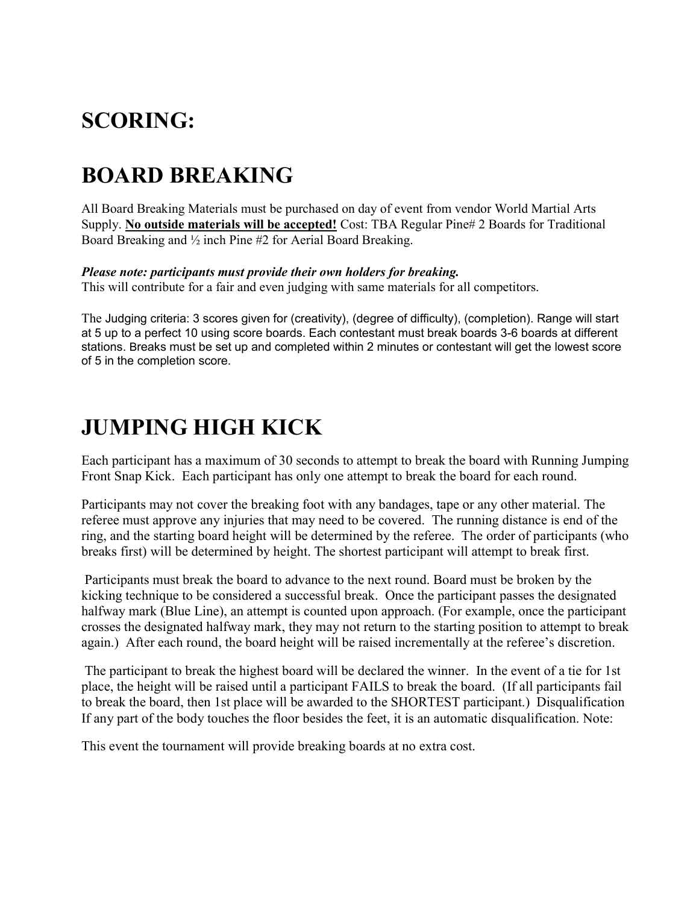# SCORING:

# BOARD BREAKING

All Board Breaking Materials must be purchased on day of event from vendor World Martial Arts Supply. No outside materials will be accepted! Cost: TBA Regular Pine# 2 Boards for Traditional Board Breaking and ½ inch Pine #2 for Aerial Board Breaking.

### Please note: participants must provide their own holders for breaking.

This will contribute for a fair and even judging with same materials for all competitors.

The Judging criteria: 3 scores given for (creativity), (degree of difficulty), (completion). Range will start at 5 up to a perfect 10 using score boards. Each contestant must break boards 3-6 boards at different stations. Breaks must be set up and completed within 2 minutes or contestant will get the lowest score of 5 in the completion score.

## JUMPING HIGH KICK

Each participant has a maximum of 30 seconds to attempt to break the board with Running Jumping Front Snap Kick. Each participant has only one attempt to break the board for each round.

Participants may not cover the breaking foot with any bandages, tape or any other material. The referee must approve any injuries that may need to be covered. The running distance is end of the ring, and the starting board height will be determined by the referee. The order of participants (who breaks first) will be determined by height. The shortest participant will attempt to break first.

 Participants must break the board to advance to the next round. Board must be broken by the kicking technique to be considered a successful break. Once the participant passes the designated halfway mark (Blue Line), an attempt is counted upon approach. (For example, once the participant crosses the designated halfway mark, they may not return to the starting position to attempt to break again.) After each round, the board height will be raised incrementally at the referee's discretion.

 The participant to break the highest board will be declared the winner. In the event of a tie for 1st place, the height will be raised until a participant FAILS to break the board. (If all participants fail to break the board, then 1st place will be awarded to the SHORTEST participant.) Disqualification If any part of the body touches the floor besides the feet, it is an automatic disqualification. Note:

This event the tournament will provide breaking boards at no extra cost.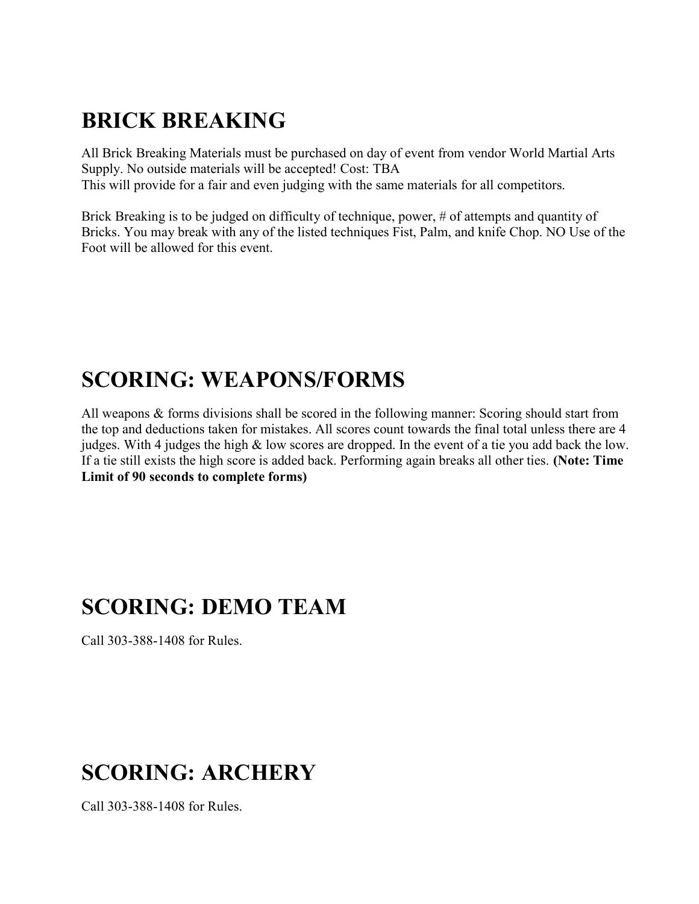# BRICK BREAKING

All Brick Breaking Materials must be purchased on day of event from vendor World Martial Arts Supply. No outside materials will be accepted! Cost: TBA This will provide for a fair and even judging with the same materials for all competitors.

Brick Breaking is to be judged on difficulty of technique, power, # of attempts and quantity of Bricks. You may break with any of the listed techniques Fist, Palm, and knife Chop. NO Use of the Foot will be allowed for this event.

## SCORING: WEAPONS/FORMS

All weapons & forms divisions shall be scored in the following manner: Scoring should start from the top and deductions taken for mistakes. All scores count towards the final total unless there are 4 judges. With 4 judges the high & low scores are dropped. In the event of a tie you add back the low. If a tie still exists the high score is added back. Performing again breaks all other ties. (Note: Time Limit of 90 seconds to complete forms)

## SCORING: DEMO TEAM

Call 303-388-1408 for Rules.

# SCORING: ARCHERY

Call 303-388-1408 for Rules.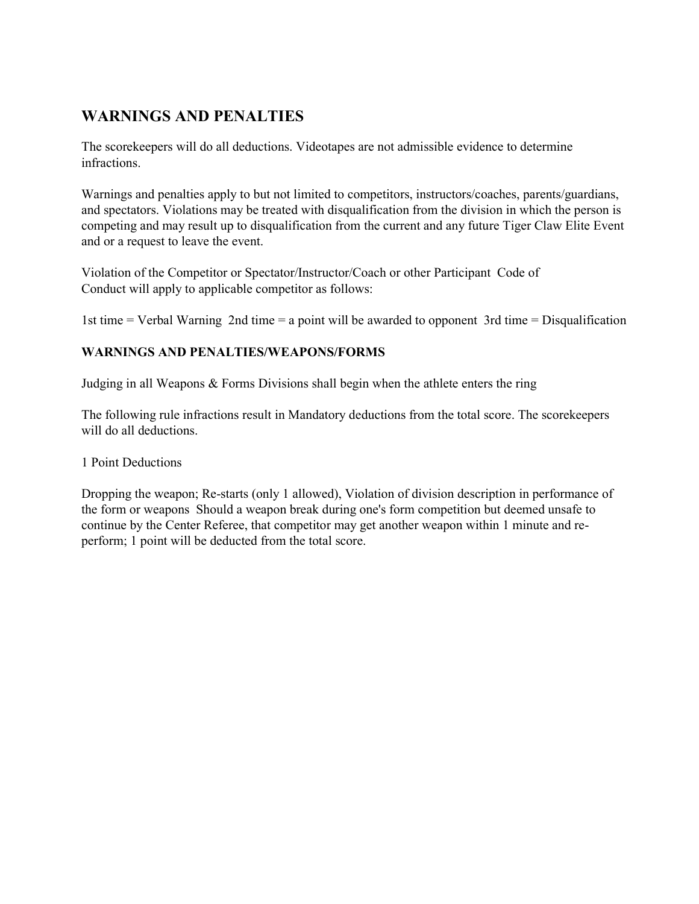### WARNINGS AND PENALTIES

The scorekeepers will do all deductions. Videotapes are not admissible evidence to determine infractions.

Warnings and penalties apply to but not limited to competitors, instructors/coaches, parents/guardians, and spectators. Violations may be treated with disqualification from the division in which the person is competing and may result up to disqualification from the current and any future Tiger Claw Elite Event and or a request to leave the event.

Violation of the Competitor or Spectator/Instructor/Coach or other Participant Code of Conduct will apply to applicable competitor as follows:

1st time = Verbal Warning 2nd time = a point will be awarded to opponent 3rd time = Disqualification

### WARNINGS AND PENALTIES/WEAPONS/FORMS

Judging in all Weapons & Forms Divisions shall begin when the athlete enters the ring

The following rule infractions result in Mandatory deductions from the total score. The scorekeepers will do all deductions.

### 1 Point Deductions

Dropping the weapon; Re-starts (only 1 allowed), Violation of division description in performance of the form or weapons Should a weapon break during one's form competition but deemed unsafe to continue by the Center Referee, that competitor may get another weapon within 1 minute and reperform; 1 point will be deducted from the total score.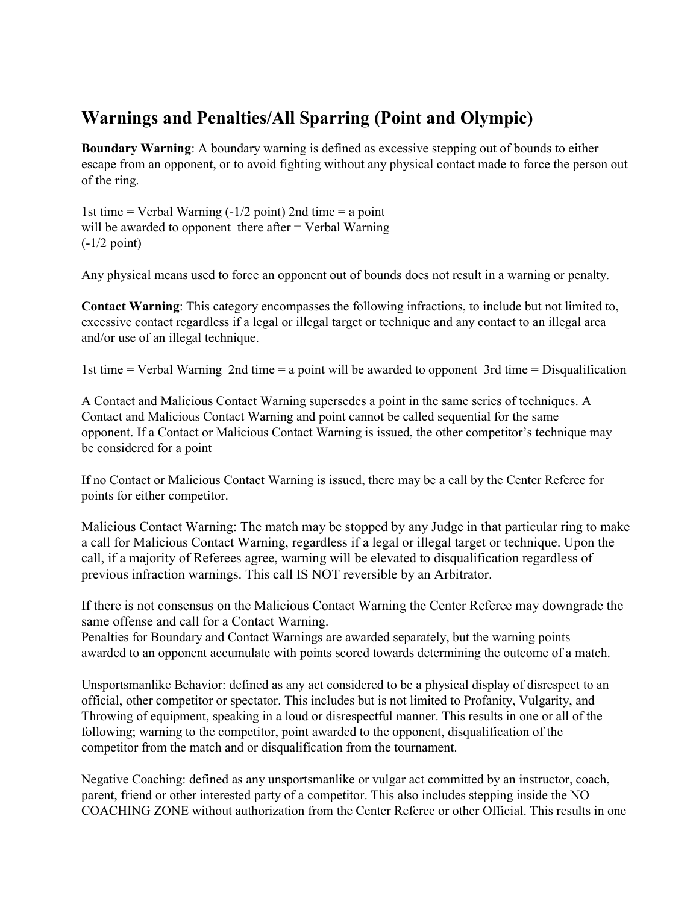### Warnings and Penalties/All Sparring (Point and Olympic)

Boundary Warning: A boundary warning is defined as excessive stepping out of bounds to either escape from an opponent, or to avoid fighting without any physical contact made to force the person out of the ring.

1st time  $=$  Verbal Warning ( $-1/2$  point) 2nd time  $=$  a point will be awarded to opponent there after  $=$  Verbal Warning (-1/2 point)

Any physical means used to force an opponent out of bounds does not result in a warning or penalty.

Contact Warning: This category encompasses the following infractions, to include but not limited to, excessive contact regardless if a legal or illegal target or technique and any contact to an illegal area and/or use of an illegal technique.

1st time = Verbal Warning 2nd time = a point will be awarded to opponent 3rd time = Disqualification

A Contact and Malicious Contact Warning supersedes a point in the same series of techniques. A Contact and Malicious Contact Warning and point cannot be called sequential for the same opponent. If a Contact or Malicious Contact Warning is issued, the other competitor's technique may be considered for a point

If no Contact or Malicious Contact Warning is issued, there may be a call by the Center Referee for points for either competitor.

Malicious Contact Warning: The match may be stopped by any Judge in that particular ring to make a call for Malicious Contact Warning, regardless if a legal or illegal target or technique. Upon the call, if a majority of Referees agree, warning will be elevated to disqualification regardless of previous infraction warnings. This call IS NOT reversible by an Arbitrator.

If there is not consensus on the Malicious Contact Warning the Center Referee may downgrade the same offense and call for a Contact Warning.

Penalties for Boundary and Contact Warnings are awarded separately, but the warning points awarded to an opponent accumulate with points scored towards determining the outcome of a match.

Unsportsmanlike Behavior: defined as any act considered to be a physical display of disrespect to an official, other competitor or spectator. This includes but is not limited to Profanity, Vulgarity, and Throwing of equipment, speaking in a loud or disrespectful manner. This results in one or all of the following; warning to the competitor, point awarded to the opponent, disqualification of the competitor from the match and or disqualification from the tournament.

Negative Coaching: defined as any unsportsmanlike or vulgar act committed by an instructor, coach, parent, friend or other interested party of a competitor. This also includes stepping inside the NO COACHING ZONE without authorization from the Center Referee or other Official. This results in one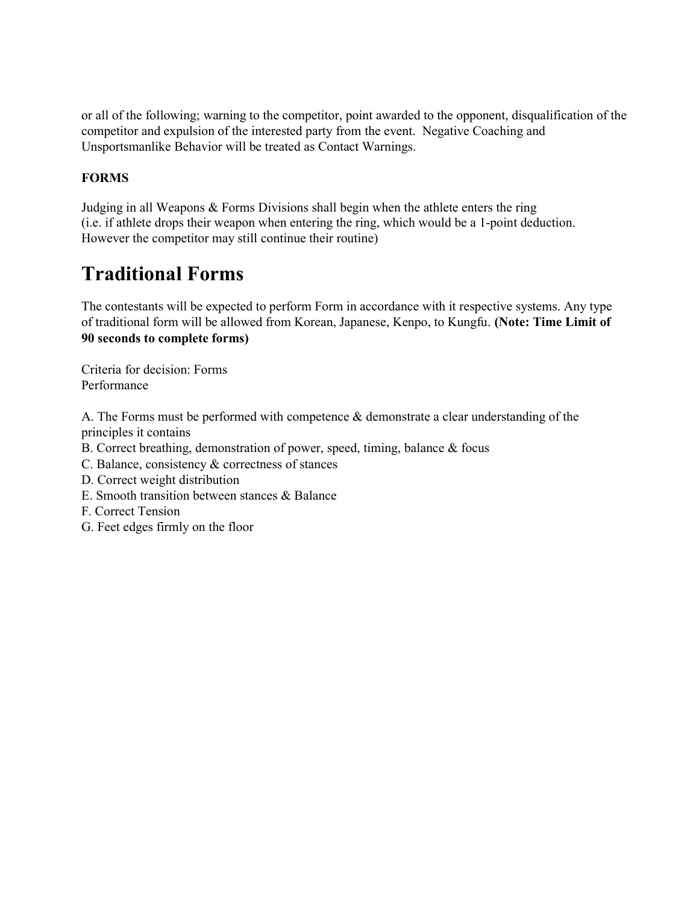or all of the following; warning to the competitor, point awarded to the opponent, disqualification of the competitor and expulsion of the interested party from the event. Negative Coaching and Unsportsmanlike Behavior will be treated as Contact Warnings.

### **FORMS**

Judging in all Weapons & Forms Divisions shall begin when the athlete enters the ring (i.e. if athlete drops their weapon when entering the ring, which would be a 1-point deduction. However the competitor may still continue their routine)

## Traditional Forms

The contestants will be expected to perform Form in accordance with it respective systems. Any type of traditional form will be allowed from Korean, Japanese, Kenpo, to Kungfu. (Note: Time Limit of 90 seconds to complete forms)

Criteria for decision: Forms Performance

A. The Forms must be performed with competence & demonstrate a clear understanding of the principles it contains

- B. Correct breathing, demonstration of power, speed, timing, balance & focus
- C. Balance, consistency & correctness of stances
- D. Correct weight distribution
- E. Smooth transition between stances & Balance
- F. Correct Tension
- G. Feet edges firmly on the floor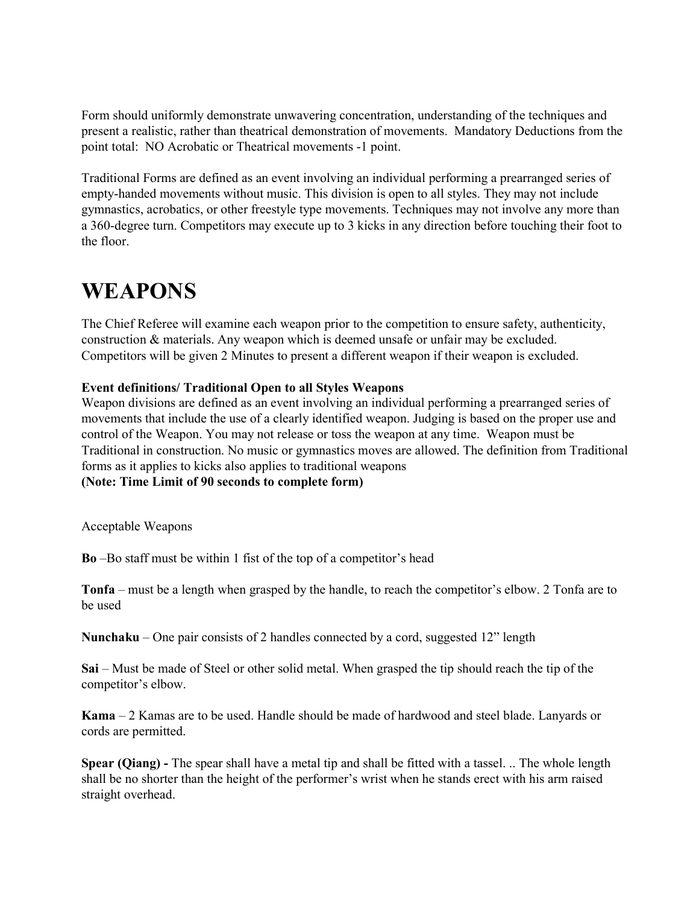Form should uniformly demonstrate unwavering concentration, understanding of the techniques and present a realistic, rather than theatrical demonstration of movements. Mandatory Deductions from the point total: NO Acrobatic or Theatrical movements -1 point.

Traditional Forms are defined as an event involving an individual performing a prearranged series of empty-handed movements without music. This division is open to all styles. They may not include gymnastics, acrobatics, or other freestyle type movements. Techniques may not involve any more than a 360-degree turn. Competitors may execute up to 3 kicks in any direction before touching their foot to the floor.

## WEAPONS

The Chief Referee will examine each weapon prior to the competition to ensure safety, authenticity, construction & materials. Any weapon which is deemed unsafe or unfair may be excluded. Competitors will be given 2 Minutes to present a different weapon if their weapon is excluded.

### Event definitions/ Traditional Open to all Styles Weapons

Weapon divisions are defined as an event involving an individual performing a prearranged series of movements that include the use of a clearly identified weapon. Judging is based on the proper use and control of the Weapon. You may not release or toss the weapon at any time. Weapon must be Traditional in construction. No music or gymnastics moves are allowed. The definition from Traditional forms as it applies to kicks also applies to traditional weapons

### (Note: Time Limit of 90 seconds to complete form)

Acceptable Weapons

Bo –Bo staff must be within 1 fist of the top of a competitor's head

Tonfa – must be a length when grasped by the handle, to reach the competitor's elbow. 2 Tonfa are to be used

Nunchaku – One pair consists of 2 handles connected by a cord, suggested 12" length

Sai – Must be made of Steel or other solid metal. When grasped the tip should reach the tip of the competitor's elbow.

Kama – 2 Kamas are to be used. Handle should be made of hardwood and steel blade. Lanyards or cords are permitted.

Spear (Qiang) - The spear shall have a metal tip and shall be fitted with a tassel. .. The whole length shall be no shorter than the height of the performer's wrist when he stands erect with his arm raised straight overhead.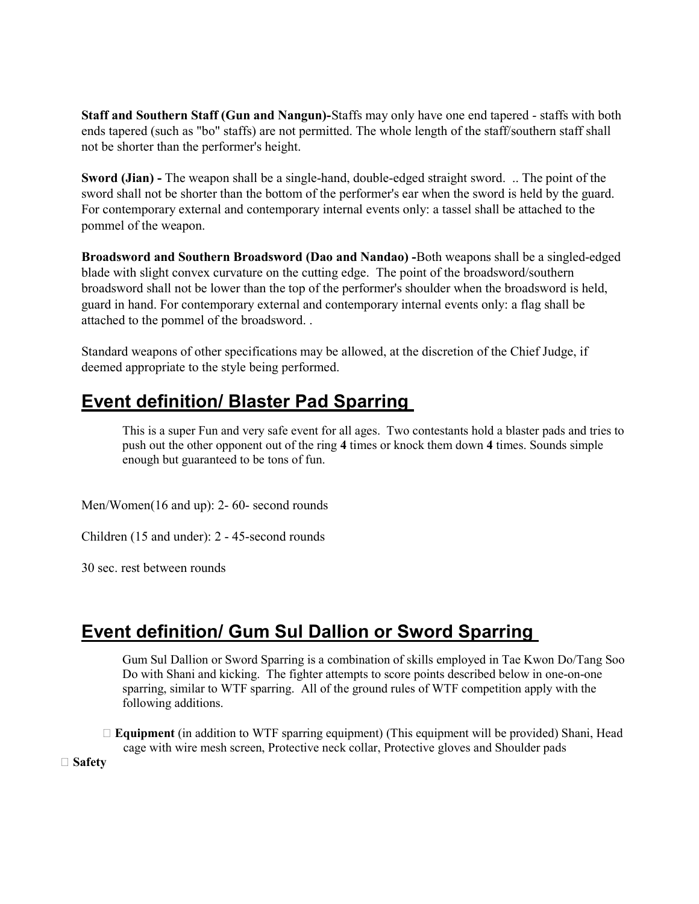Staff and Southern Staff (Gun and Nangun)-Staffs may only have one end tapered - staffs with both ends tapered (such as "bo" staffs) are not permitted. The whole length of the staff/southern staff shall not be shorter than the performer's height.

Sword (Jian) - The weapon shall be a single-hand, double-edged straight sword. .. The point of the sword shall not be shorter than the bottom of the performer's ear when the sword is held by the guard. For contemporary external and contemporary internal events only: a tassel shall be attached to the pommel of the weapon.

Broadsword and Southern Broadsword (Dao and Nandao) -Both weapons shall be a singled-edged blade with slight convex curvature on the cutting edge. The point of the broadsword/southern broadsword shall not be lower than the top of the performer's shoulder when the broadsword is held, guard in hand. For contemporary external and contemporary internal events only: a flag shall be attached to the pommel of the broadsword. .

Standard weapons of other specifications may be allowed, at the discretion of the Chief Judge, if deemed appropriate to the style being performed.

## Event definition/ Blaster Pad Sparring

This is a super Fun and very safe event for all ages. Two contestants hold a blaster pads and tries to push out the other opponent out of the ring 4 times or knock them down 4 times. Sounds simple enough but guaranteed to be tons of fun.

Men/Women(16 and up): 2- 60- second rounds

Children (15 and under): 2 - 45-second rounds

30 sec. rest between rounds

### Event definition/ Gum Sul Dallion or Sword Sparring

Gum Sul Dallion or Sword Sparring is a combination of skills employed in Tae Kwon Do/Tang Soo Do with Shani and kicking. The fighter attempts to score points described below in one-on-one sparring, similar to WTF sparring. All of the ground rules of WTF competition apply with the following additions.

 $\Box$  Equipment (in addition to WTF sparring equipment) (This equipment will be provided) Shani, Head cage with wire mesh screen, Protective neck collar, Protective gloves and Shoulder pads

□ Safety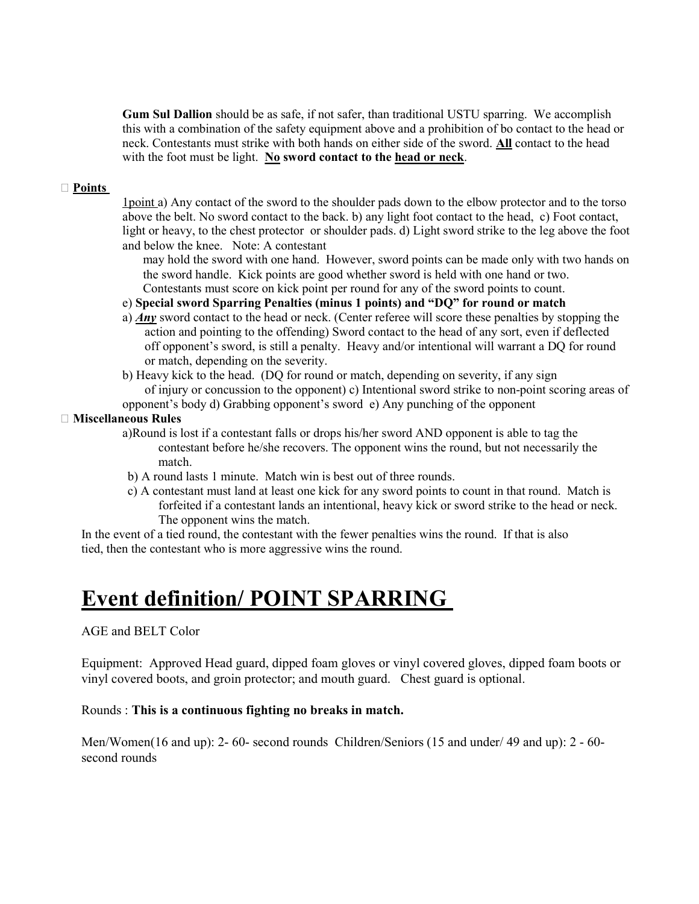Gum Sul Dallion should be as safe, if not safer, than traditional USTU sparring. We accomplish this with a combination of the safety equipment above and a prohibition of bo contact to the head or neck. Contestants must strike with both hands on either side of the sword. All contact to the head with the foot must be light. No sword contact to the head or neck.

#### □ Points

1point a) Any contact of the sword to the shoulder pads down to the elbow protector and to the torso above the belt. No sword contact to the back. b) any light foot contact to the head, c) Foot contact, light or heavy, to the chest protector or shoulder pads. d) Light sword strike to the leg above the foot and below the knee. Note: A contestant

may hold the sword with one hand. However, sword points can be made only with two hands on the sword handle. Kick points are good whether sword is held with one hand or two. Contestants must score on kick point per round for any of the sword points to count.

### e) Special sword Sparring Penalties (minus 1 points) and "DQ" for round or match

- a)  $Any$  sword contact to the head or neck. (Center referee will score these penalties by stopping the action and pointing to the offending) Sword contact to the head of any sort, even if deflected off opponent's sword, is still a penalty. Heavy and/or intentional will warrant a DQ for round or match, depending on the severity.
- b) Heavy kick to the head. (DQ for round or match, depending on severity, if any sign of injury or concussion to the opponent) c) Intentional sword strike to non-point scoring areas of opponent's body d) Grabbing opponent's sword e) Any punching of the opponent

### Miscellaneous Rules

- a)Round is lost if a contestant falls or drops his/her sword AND opponent is able to tag the contestant before he/she recovers. The opponent wins the round, but not necessarily the match.
- b) A round lasts 1 minute. Match win is best out of three rounds.
- c) A contestant must land at least one kick for any sword points to count in that round. Match is forfeited if a contestant lands an intentional, heavy kick or sword strike to the head or neck. The opponent wins the match.

In the event of a tied round, the contestant with the fewer penalties wins the round. If that is also tied, then the contestant who is more aggressive wins the round.

## Event definition/ POINT SPARRING

### AGE and BELT Color

Equipment: Approved Head guard, dipped foam gloves or vinyl covered gloves, dipped foam boots or vinyl covered boots, and groin protector; and mouth guard. Chest guard is optional.

### Rounds : This is a continuous fighting no breaks in match.

Men/Women(16 and up): 2- 60- second rounds Children/Seniors (15 and under/ 49 and up): 2 - 60 second rounds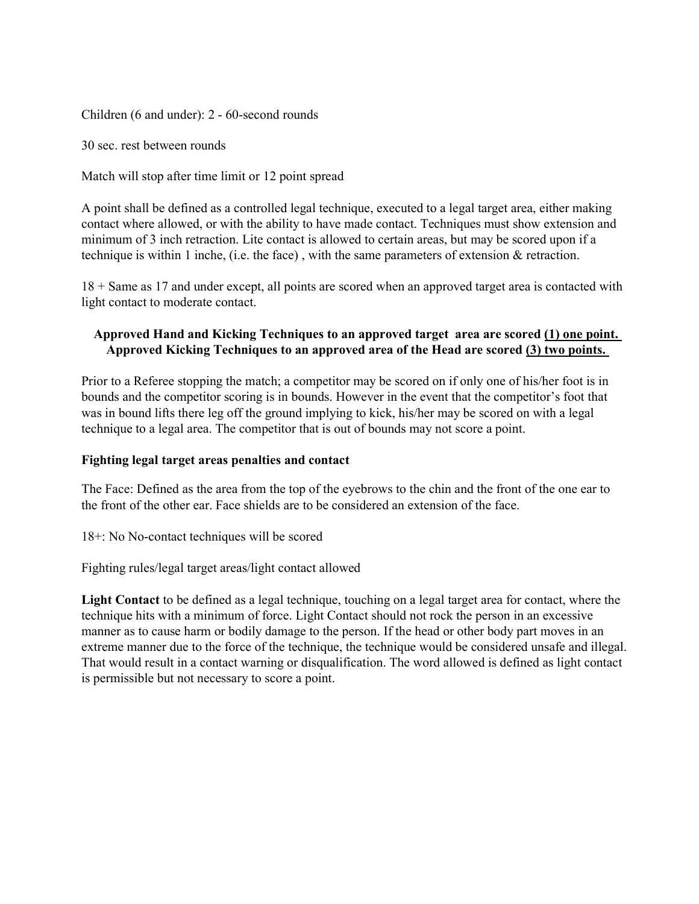Children (6 and under): 2 - 60-second rounds

30 sec. rest between rounds

Match will stop after time limit or 12 point spread

A point shall be defined as a controlled legal technique, executed to a legal target area, either making contact where allowed, or with the ability to have made contact. Techniques must show extension and minimum of 3 inch retraction. Lite contact is allowed to certain areas, but may be scored upon if a technique is within 1 inche, (i.e. the face) , with the same parameters of extension & retraction.

18 + Same as 17 and under except, all points are scored when an approved target area is contacted with light contact to moderate contact.

### Approved Hand and Kicking Techniques to an approved target area are scored (1) one point. Approved Kicking Techniques to an approved area of the Head are scored (3) two points.

Prior to a Referee stopping the match; a competitor may be scored on if only one of his/her foot is in bounds and the competitor scoring is in bounds. However in the event that the competitor's foot that was in bound lifts there leg off the ground implying to kick, his/her may be scored on with a legal technique to a legal area. The competitor that is out of bounds may not score a point.

### Fighting legal target areas penalties and contact

The Face: Defined as the area from the top of the eyebrows to the chin and the front of the one ear to the front of the other ear. Face shields are to be considered an extension of the face.

18+: No No-contact techniques will be scored

Fighting rules/legal target areas/light contact allowed

Light Contact to be defined as a legal technique, touching on a legal target area for contact, where the technique hits with a minimum of force. Light Contact should not rock the person in an excessive manner as to cause harm or bodily damage to the person. If the head or other body part moves in an extreme manner due to the force of the technique, the technique would be considered unsafe and illegal. That would result in a contact warning or disqualification. The word allowed is defined as light contact is permissible but not necessary to score a point.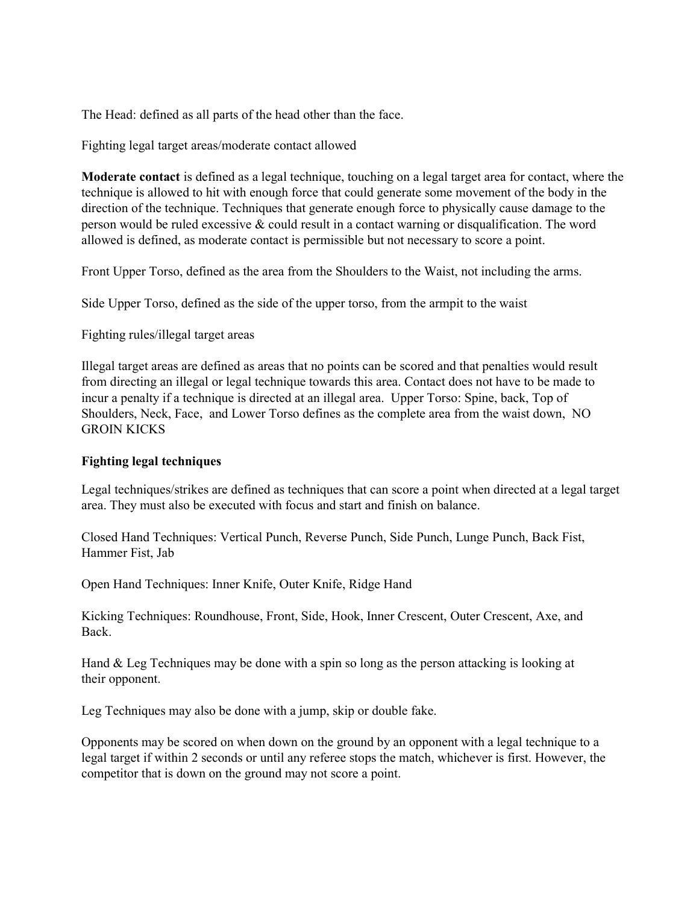The Head: defined as all parts of the head other than the face.

Fighting legal target areas/moderate contact allowed

Moderate contact is defined as a legal technique, touching on a legal target area for contact, where the technique is allowed to hit with enough force that could generate some movement of the body in the direction of the technique. Techniques that generate enough force to physically cause damage to the person would be ruled excessive & could result in a contact warning or disqualification. The word allowed is defined, as moderate contact is permissible but not necessary to score a point.

Front Upper Torso, defined as the area from the Shoulders to the Waist, not including the arms.

Side Upper Torso, defined as the side of the upper torso, from the armpit to the waist

Fighting rules/illegal target areas

Illegal target areas are defined as areas that no points can be scored and that penalties would result from directing an illegal or legal technique towards this area. Contact does not have to be made to incur a penalty if a technique is directed at an illegal area. Upper Torso: Spine, back, Top of Shoulders, Neck, Face, and Lower Torso defines as the complete area from the waist down, NO GROIN KICKS

### Fighting legal techniques

Legal techniques/strikes are defined as techniques that can score a point when directed at a legal target area. They must also be executed with focus and start and finish on balance.

Closed Hand Techniques: Vertical Punch, Reverse Punch, Side Punch, Lunge Punch, Back Fist, Hammer Fist, Jab

Open Hand Techniques: Inner Knife, Outer Knife, Ridge Hand

Kicking Techniques: Roundhouse, Front, Side, Hook, Inner Crescent, Outer Crescent, Axe, and Back.

Hand & Leg Techniques may be done with a spin so long as the person attacking is looking at their opponent.

Leg Techniques may also be done with a jump, skip or double fake.

Opponents may be scored on when down on the ground by an opponent with a legal technique to a legal target if within 2 seconds or until any referee stops the match, whichever is first. However, the competitor that is down on the ground may not score a point.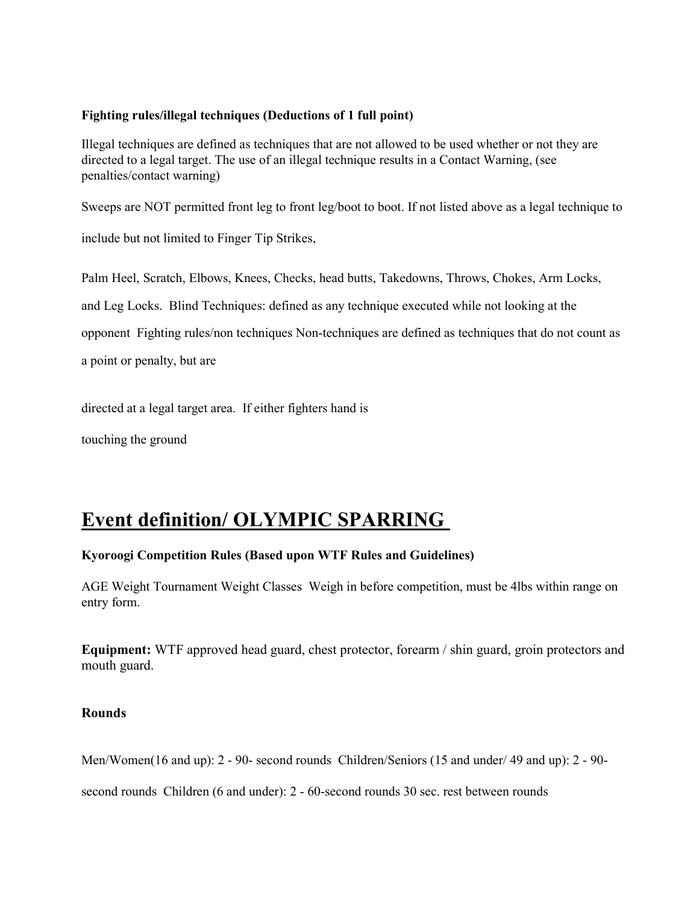### Fighting rules/illegal techniques (Deductions of 1 full point)

Illegal techniques are defined as techniques that are not allowed to be used whether or not they are directed to a legal target. The use of an illegal technique results in a Contact Warning, (see penalties/contact warning)

Sweeps are NOT permitted front leg to front leg/boot to boot. If not listed above as a legal technique to

include but not limited to Finger Tip Strikes,

Palm Heel, Scratch, Elbows, Knees, Checks, head butts, Takedowns, Throws, Chokes, Arm Locks, and Leg Locks. Blind Techniques: defined as any technique executed while not looking at the opponent Fighting rules/non techniques Non-techniques are defined as techniques that do not count as

a point or penalty, but are

directed at a legal target area. If either fighters hand is

touching the ground

## Event definition/ OLYMPIC SPARRING

### Kyoroogi Competition Rules (Based upon WTF Rules and Guidelines)

AGE Weight Tournament Weight Classes Weigh in before competition, must be 4lbs within range on entry form.

Equipment: WTF approved head guard, chest protector, forearm / shin guard, groin protectors and mouth guard.

### Rounds

Men/Women(16 and up): 2 - 90- second rounds Children/Seniors (15 and under/ 49 and up): 2 - 90-

second rounds Children (6 and under): 2 - 60-second rounds 30 sec. rest between rounds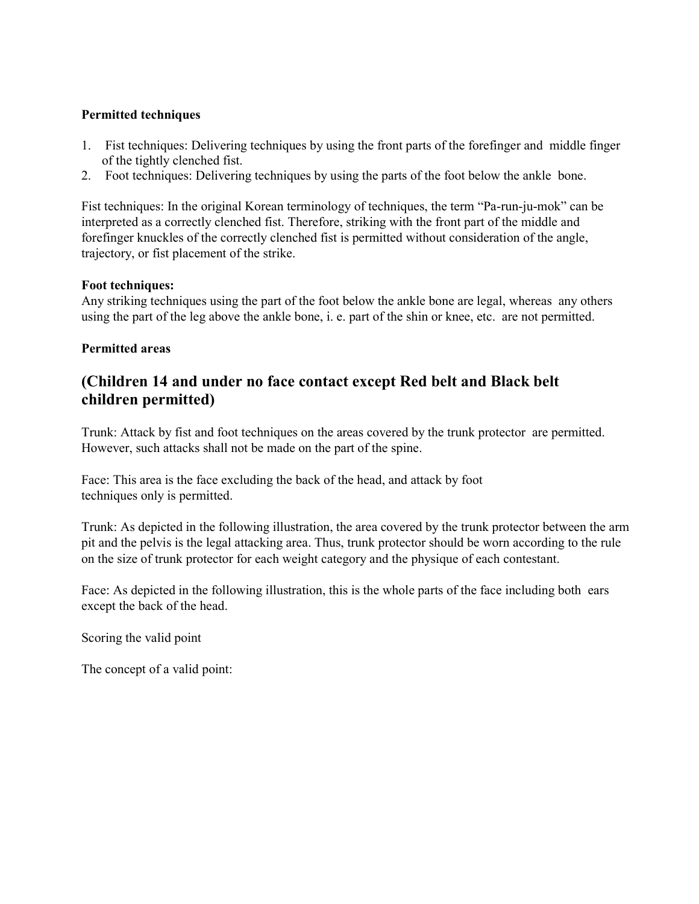### Permitted techniques

- 1. Fist techniques: Delivering techniques by using the front parts of the forefinger and middle finger of the tightly clenched fist.
- 2. Foot techniques: Delivering techniques by using the parts of the foot below the ankle bone.

Fist techniques: In the original Korean terminology of techniques, the term "Pa-run-ju-mok" can be interpreted as a correctly clenched fist. Therefore, striking with the front part of the middle and forefinger knuckles of the correctly clenched fist is permitted without consideration of the angle, trajectory, or fist placement of the strike.

### Foot techniques:

Any striking techniques using the part of the foot below the ankle bone are legal, whereas any others using the part of the leg above the ankle bone, i. e. part of the shin or knee, etc. are not permitted.

### Permitted areas

### (Children 14 and under no face contact except Red belt and Black belt children permitted)

Trunk: Attack by fist and foot techniques on the areas covered by the trunk protector are permitted. However, such attacks shall not be made on the part of the spine.

Face: This area is the face excluding the back of the head, and attack by foot techniques only is permitted.

Trunk: As depicted in the following illustration, the area covered by the trunk protector between the arm pit and the pelvis is the legal attacking area. Thus, trunk protector should be worn according to the rule on the size of trunk protector for each weight category and the physique of each contestant.

Face: As depicted in the following illustration, this is the whole parts of the face including both ears except the back of the head.

Scoring the valid point

The concept of a valid point: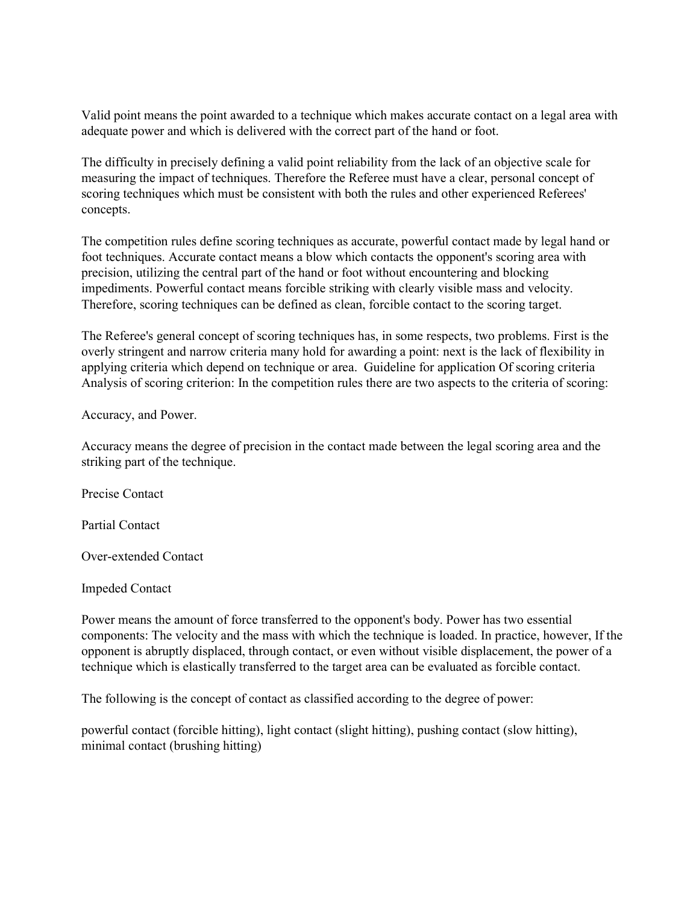Valid point means the point awarded to a technique which makes accurate contact on a legal area with adequate power and which is delivered with the correct part of the hand or foot.

The difficulty in precisely defining a valid point reliability from the lack of an objective scale for measuring the impact of techniques. Therefore the Referee must have a clear, personal concept of scoring techniques which must be consistent with both the rules and other experienced Referees' concepts.

The competition rules define scoring techniques as accurate, powerful contact made by legal hand or foot techniques. Accurate contact means a blow which contacts the opponent's scoring area with precision, utilizing the central part of the hand or foot without encountering and blocking impediments. Powerful contact means forcible striking with clearly visible mass and velocity. Therefore, scoring techniques can be defined as clean, forcible contact to the scoring target.

The Referee's general concept of scoring techniques has, in some respects, two problems. First is the overly stringent and narrow criteria many hold for awarding a point: next is the lack of flexibility in applying criteria which depend on technique or area. Guideline for application Of scoring criteria Analysis of scoring criterion: In the competition rules there are two aspects to the criteria of scoring:

Accuracy, and Power.

Accuracy means the degree of precision in the contact made between the legal scoring area and the striking part of the technique.

Precise Contact

Partial Contact

Over-extended Contact

Impeded Contact

Power means the amount of force transferred to the opponent's body. Power has two essential components: The velocity and the mass with which the technique is loaded. In practice, however, If the opponent is abruptly displaced, through contact, or even without visible displacement, the power of a technique which is elastically transferred to the target area can be evaluated as forcible contact.

The following is the concept of contact as classified according to the degree of power:

powerful contact (forcible hitting), light contact (slight hitting), pushing contact (slow hitting), minimal contact (brushing hitting)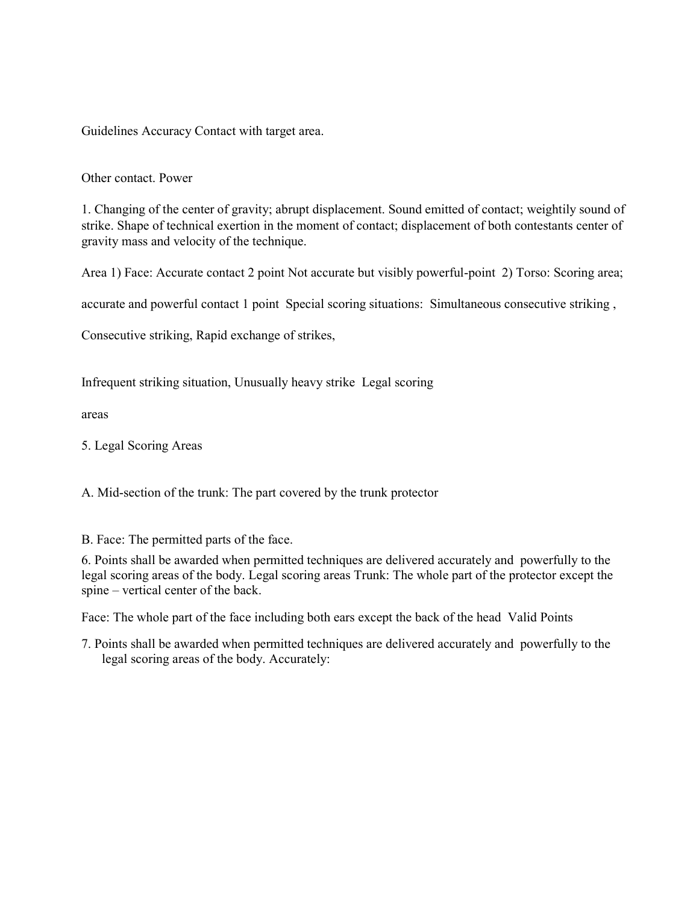Guidelines Accuracy Contact with target area.

### Other contact. Power

1. Changing of the center of gravity; abrupt displacement. Sound emitted of contact; weightily sound of strike. Shape of technical exertion in the moment of contact; displacement of both contestants center of gravity mass and velocity of the technique.

Area 1) Face: Accurate contact 2 point Not accurate but visibly powerful-point 2) Torso: Scoring area;

accurate and powerful contact 1 point Special scoring situations: Simultaneous consecutive striking ,

Consecutive striking, Rapid exchange of strikes,

Infrequent striking situation, Unusually heavy strike Legal scoring

areas

5. Legal Scoring Areas

A. Mid-section of the trunk: The part covered by the trunk protector

B. Face: The permitted parts of the face.

6. Points shall be awarded when permitted techniques are delivered accurately and powerfully to the legal scoring areas of the body. Legal scoring areas Trunk: The whole part of the protector except the spine – vertical center of the back.

Face: The whole part of the face including both ears except the back of the head Valid Points

7. Points shall be awarded when permitted techniques are delivered accurately and powerfully to the legal scoring areas of the body. Accurately: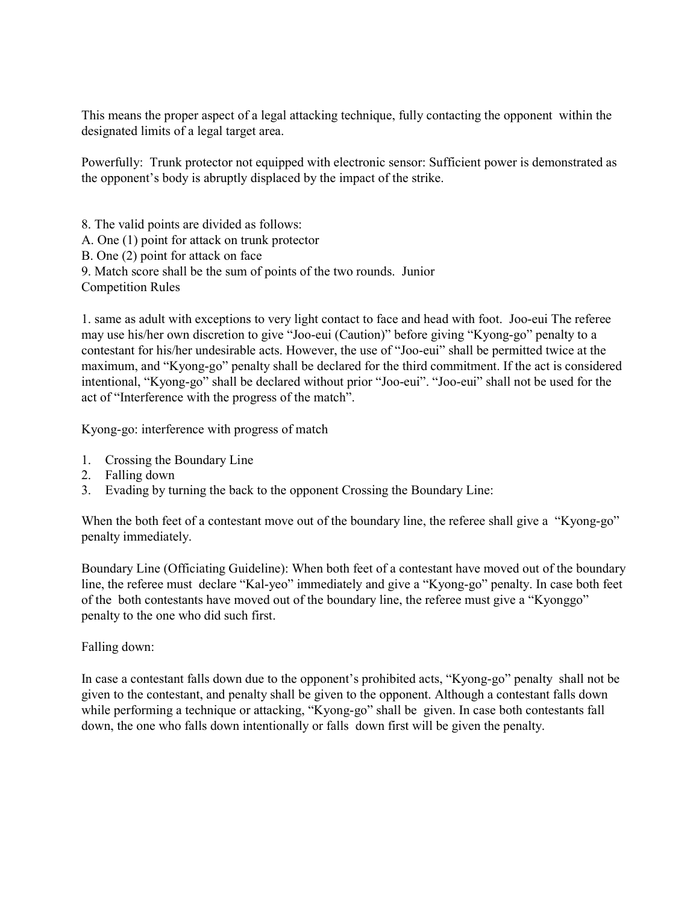This means the proper aspect of a legal attacking technique, fully contacting the opponent within the designated limits of a legal target area.

Powerfully: Trunk protector not equipped with electronic sensor: Sufficient power is demonstrated as the opponent's body is abruptly displaced by the impact of the strike.

8. The valid points are divided as follows: A. One (1) point for attack on trunk protector B. One (2) point for attack on face 9. Match score shall be the sum of points of the two rounds. Junior Competition Rules

1. same as adult with exceptions to very light contact to face and head with foot. Joo-eui The referee may use his/her own discretion to give "Joo-eui (Caution)" before giving "Kyong-go" penalty to a contestant for his/her undesirable acts. However, the use of "Joo-eui" shall be permitted twice at the maximum, and "Kyong-go" penalty shall be declared for the third commitment. If the act is considered intentional, "Kyong-go" shall be declared without prior "Joo-eui". "Joo-eui" shall not be used for the act of "Interference with the progress of the match".

Kyong-go: interference with progress of match

- 1. Crossing the Boundary Line
- 2. Falling down
- 3. Evading by turning the back to the opponent Crossing the Boundary Line:

When the both feet of a contestant move out of the boundary line, the referee shall give a "Kyong-go" penalty immediately.

Boundary Line (Officiating Guideline): When both feet of a contestant have moved out of the boundary line, the referee must declare "Kal-yeo" immediately and give a "Kyong-go" penalty. In case both feet of the both contestants have moved out of the boundary line, the referee must give a "Kyonggo" penalty to the one who did such first.

### Falling down:

In case a contestant falls down due to the opponent's prohibited acts, "Kyong-go" penalty shall not be given to the contestant, and penalty shall be given to the opponent. Although a contestant falls down while performing a technique or attacking, "Kyong-go" shall be given. In case both contestants fall down, the one who falls down intentionally or falls down first will be given the penalty.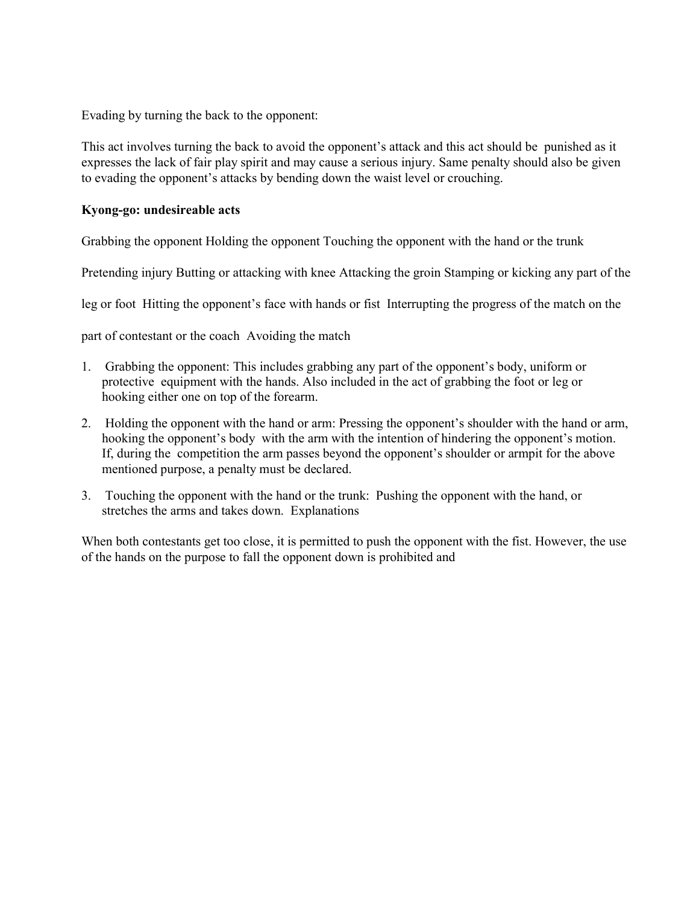Evading by turning the back to the opponent:

This act involves turning the back to avoid the opponent's attack and this act should be punished as it expresses the lack of fair play spirit and may cause a serious injury. Same penalty should also be given to evading the opponent's attacks by bending down the waist level or crouching.

### Kyong-go: undesireable acts

Grabbing the opponent Holding the opponent Touching the opponent with the hand or the trunk

Pretending injury Butting or attacking with knee Attacking the groin Stamping or kicking any part of the

leg or foot Hitting the opponent's face with hands or fist Interrupting the progress of the match on the

part of contestant or the coach Avoiding the match

- 1. Grabbing the opponent: This includes grabbing any part of the opponent's body, uniform or protective equipment with the hands. Also included in the act of grabbing the foot or leg or hooking either one on top of the forearm.
- 2. Holding the opponent with the hand or arm: Pressing the opponent's shoulder with the hand or arm, hooking the opponent's body with the arm with the intention of hindering the opponent's motion. If, during the competition the arm passes beyond the opponent's shoulder or armpit for the above mentioned purpose, a penalty must be declared.
- 3. Touching the opponent with the hand or the trunk: Pushing the opponent with the hand, or stretches the arms and takes down. Explanations

When both contestants get too close, it is permitted to push the opponent with the fist. However, the use of the hands on the purpose to fall the opponent down is prohibited and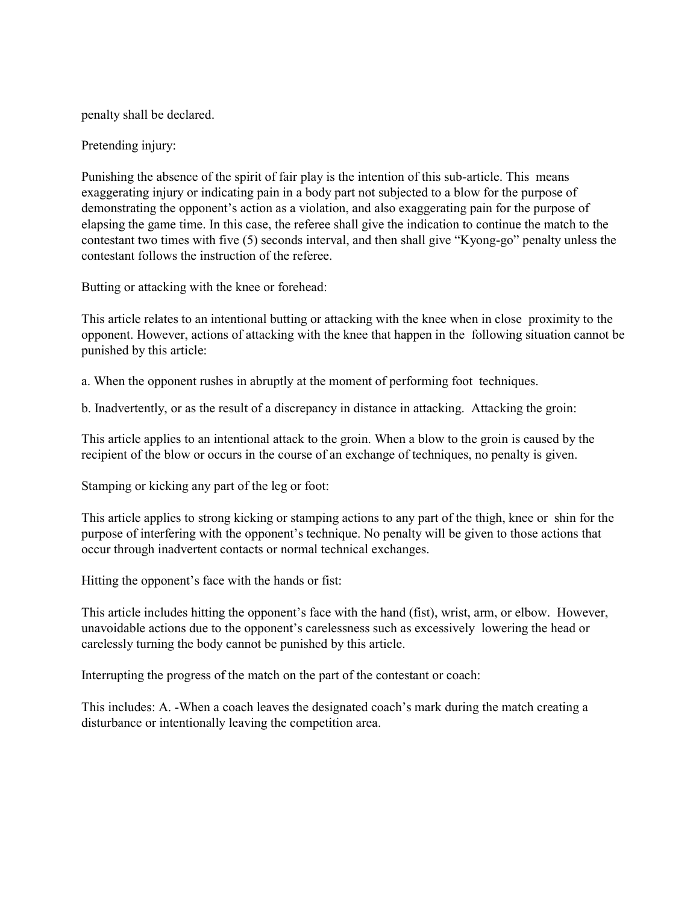penalty shall be declared.

Pretending injury:

Punishing the absence of the spirit of fair play is the intention of this sub-article. This means exaggerating injury or indicating pain in a body part not subjected to a blow for the purpose of demonstrating the opponent's action as a violation, and also exaggerating pain for the purpose of elapsing the game time. In this case, the referee shall give the indication to continue the match to the contestant two times with five (5) seconds interval, and then shall give "Kyong-go" penalty unless the contestant follows the instruction of the referee.

Butting or attacking with the knee or forehead:

This article relates to an intentional butting or attacking with the knee when in close proximity to the opponent. However, actions of attacking with the knee that happen in the following situation cannot be punished by this article:

a. When the opponent rushes in abruptly at the moment of performing foot techniques.

b. Inadvertently, or as the result of a discrepancy in distance in attacking. Attacking the groin:

This article applies to an intentional attack to the groin. When a blow to the groin is caused by the recipient of the blow or occurs in the course of an exchange of techniques, no penalty is given.

Stamping or kicking any part of the leg or foot:

This article applies to strong kicking or stamping actions to any part of the thigh, knee or shin for the purpose of interfering with the opponent's technique. No penalty will be given to those actions that occur through inadvertent contacts or normal technical exchanges.

Hitting the opponent's face with the hands or fist:

This article includes hitting the opponent's face with the hand (fist), wrist, arm, or elbow. However, unavoidable actions due to the opponent's carelessness such as excessively lowering the head or carelessly turning the body cannot be punished by this article.

Interrupting the progress of the match on the part of the contestant or coach:

This includes: A. -When a coach leaves the designated coach's mark during the match creating a disturbance or intentionally leaving the competition area.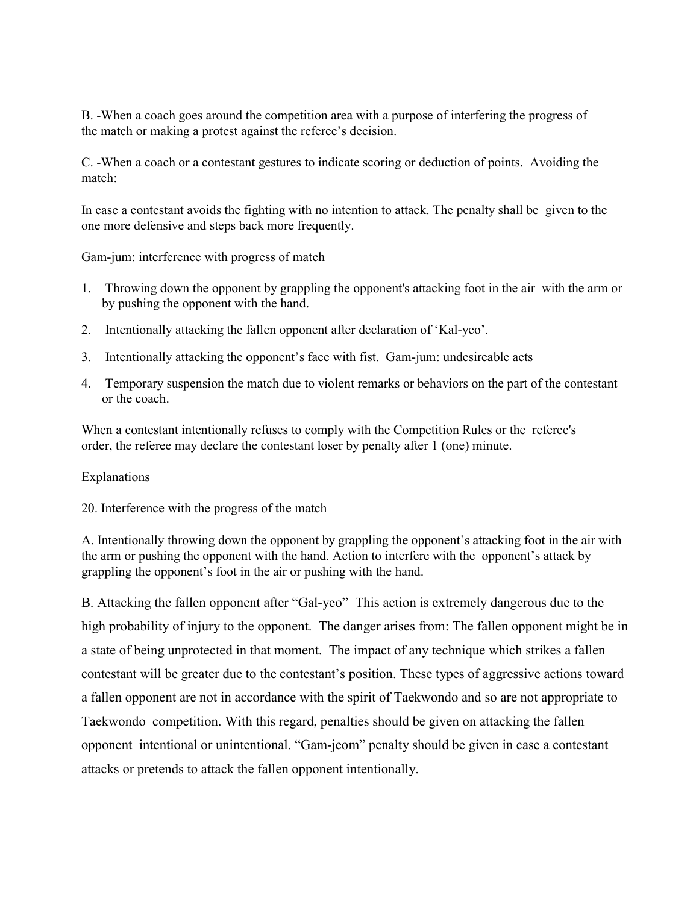B. -When a coach goes around the competition area with a purpose of interfering the progress of the match or making a protest against the referee's decision.

C. -When a coach or a contestant gestures to indicate scoring or deduction of points. Avoiding the match:

In case a contestant avoids the fighting with no intention to attack. The penalty shall be given to the one more defensive and steps back more frequently.

Gam-jum: interference with progress of match

- 1. Throwing down the opponent by grappling the opponent's attacking foot in the air with the arm or by pushing the opponent with the hand.
- 2. Intentionally attacking the fallen opponent after declaration of 'Kal-yeo'.
- 3. Intentionally attacking the opponent's face with fist. Gam-jum: undesireable acts
- 4. Temporary suspension the match due to violent remarks or behaviors on the part of the contestant or the coach.

When a contestant intentionally refuses to comply with the Competition Rules or the referee's order, the referee may declare the contestant loser by penalty after 1 (one) minute.

### Explanations

20. Interference with the progress of the match

A. Intentionally throwing down the opponent by grappling the opponent's attacking foot in the air with the arm or pushing the opponent with the hand. Action to interfere with the opponent's attack by grappling the opponent's foot in the air or pushing with the hand.

B. Attacking the fallen opponent after "Gal-yeo" This action is extremely dangerous due to the high probability of injury to the opponent. The danger arises from: The fallen opponent might be in a state of being unprotected in that moment. The impact of any technique which strikes a fallen contestant will be greater due to the contestant's position. These types of aggressive actions toward a fallen opponent are not in accordance with the spirit of Taekwondo and so are not appropriate to Taekwondo competition. With this regard, penalties should be given on attacking the fallen opponent intentional or unintentional. "Gam-jeom" penalty should be given in case a contestant attacks or pretends to attack the fallen opponent intentionally.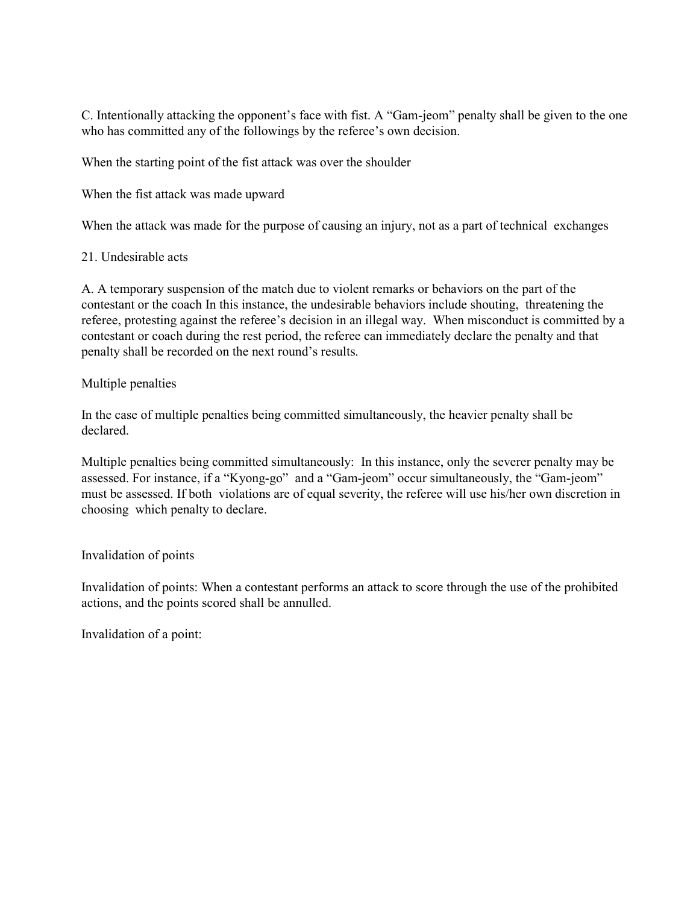C. Intentionally attacking the opponent's face with fist. A "Gam-jeom" penalty shall be given to the one who has committed any of the followings by the referee's own decision.

When the starting point of the fist attack was over the shoulder

When the fist attack was made upward

When the attack was made for the purpose of causing an injury, not as a part of technical exchanges

### 21. Undesirable acts

A. A temporary suspension of the match due to violent remarks or behaviors on the part of the contestant or the coach In this instance, the undesirable behaviors include shouting, threatening the referee, protesting against the referee's decision in an illegal way. When misconduct is committed by a contestant or coach during the rest period, the referee can immediately declare the penalty and that penalty shall be recorded on the next round's results.

### Multiple penalties

In the case of multiple penalties being committed simultaneously, the heavier penalty shall be declared.

Multiple penalties being committed simultaneously: In this instance, only the severer penalty may be assessed. For instance, if a "Kyong-go" and a "Gam-jeom" occur simultaneously, the "Gam-jeom" must be assessed. If both violations are of equal severity, the referee will use his/her own discretion in choosing which penalty to declare.

### Invalidation of points

Invalidation of points: When a contestant performs an attack to score through the use of the prohibited actions, and the points scored shall be annulled.

Invalidation of a point: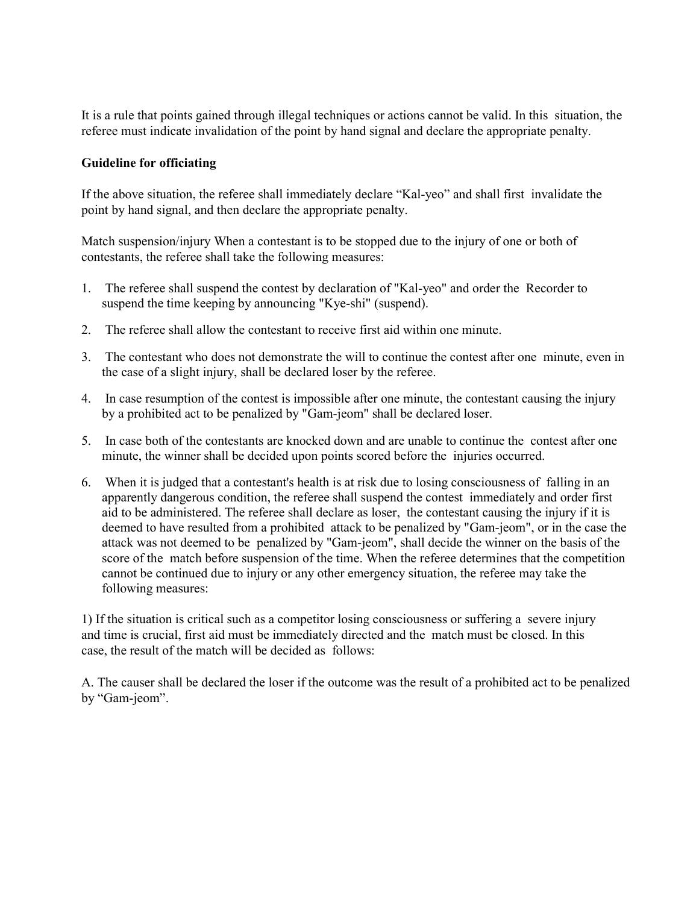It is a rule that points gained through illegal techniques or actions cannot be valid. In this situation, the referee must indicate invalidation of the point by hand signal and declare the appropriate penalty.

### Guideline for officiating

If the above situation, the referee shall immediately declare "Kal-yeo" and shall first invalidate the point by hand signal, and then declare the appropriate penalty.

Match suspension/injury When a contestant is to be stopped due to the injury of one or both of contestants, the referee shall take the following measures:

- 1. The referee shall suspend the contest by declaration of "Kal-yeo" and order the Recorder to suspend the time keeping by announcing "Kye-shi" (suspend).
- 2. The referee shall allow the contestant to receive first aid within one minute.
- 3. The contestant who does not demonstrate the will to continue the contest after one minute, even in the case of a slight injury, shall be declared loser by the referee.
- 4. In case resumption of the contest is impossible after one minute, the contestant causing the injury by a prohibited act to be penalized by "Gam-jeom" shall be declared loser.
- 5. In case both of the contestants are knocked down and are unable to continue the contest after one minute, the winner shall be decided upon points scored before the injuries occurred.
- 6. When it is judged that a contestant's health is at risk due to losing consciousness of falling in an apparently dangerous condition, the referee shall suspend the contest immediately and order first aid to be administered. The referee shall declare as loser, the contestant causing the injury if it is deemed to have resulted from a prohibited attack to be penalized by "Gam-jeom", or in the case the attack was not deemed to be penalized by "Gam-jeom", shall decide the winner on the basis of the score of the match before suspension of the time. When the referee determines that the competition cannot be continued due to injury or any other emergency situation, the referee may take the following measures:

1) If the situation is critical such as a competitor losing consciousness or suffering a severe injury and time is crucial, first aid must be immediately directed and the match must be closed. In this case, the result of the match will be decided as follows:

A. The causer shall be declared the loser if the outcome was the result of a prohibited act to be penalized by "Gam-jeom".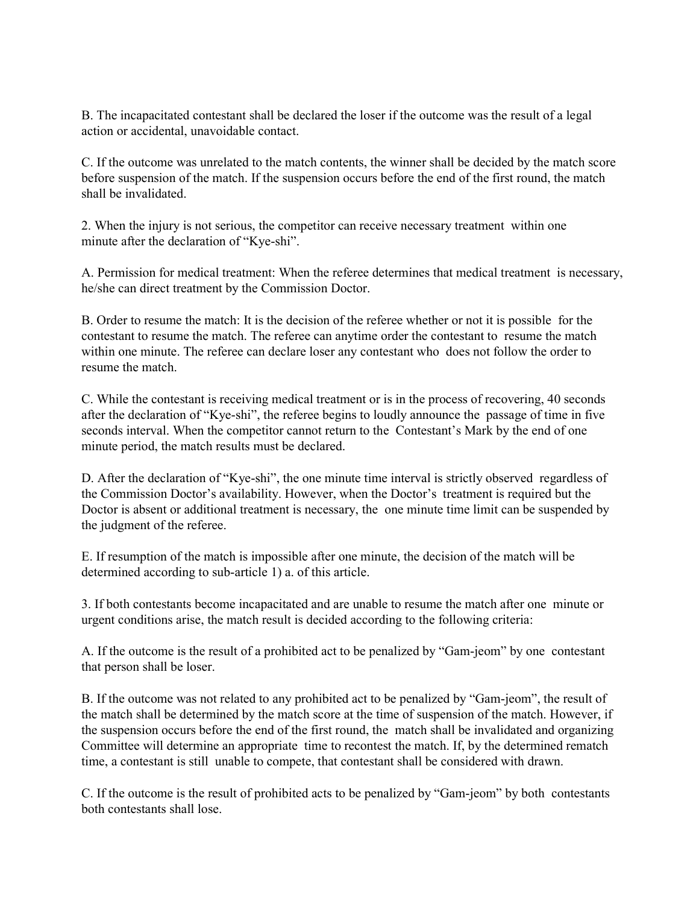B. The incapacitated contestant shall be declared the loser if the outcome was the result of a legal action or accidental, unavoidable contact.

C. If the outcome was unrelated to the match contents, the winner shall be decided by the match score before suspension of the match. If the suspension occurs before the end of the first round, the match shall be invalidated.

2. When the injury is not serious, the competitor can receive necessary treatment within one minute after the declaration of "Kye-shi".

A. Permission for medical treatment: When the referee determines that medical treatment is necessary, he/she can direct treatment by the Commission Doctor.

B. Order to resume the match: It is the decision of the referee whether or not it is possible for the contestant to resume the match. The referee can anytime order the contestant to resume the match within one minute. The referee can declare loser any contestant who does not follow the order to resume the match.

C. While the contestant is receiving medical treatment or is in the process of recovering, 40 seconds after the declaration of "Kye-shi", the referee begins to loudly announce the passage of time in five seconds interval. When the competitor cannot return to the Contestant's Mark by the end of one minute period, the match results must be declared.

D. After the declaration of "Kye-shi", the one minute time interval is strictly observed regardless of the Commission Doctor's availability. However, when the Doctor's treatment is required but the Doctor is absent or additional treatment is necessary, the one minute time limit can be suspended by the judgment of the referee.

E. If resumption of the match is impossible after one minute, the decision of the match will be determined according to sub-article 1) a. of this article.

3. If both contestants become incapacitated and are unable to resume the match after one minute or urgent conditions arise, the match result is decided according to the following criteria:

A. If the outcome is the result of a prohibited act to be penalized by "Gam-jeom" by one contestant that person shall be loser.

B. If the outcome was not related to any prohibited act to be penalized by "Gam-jeom", the result of the match shall be determined by the match score at the time of suspension of the match. However, if the suspension occurs before the end of the first round, the match shall be invalidated and organizing Committee will determine an appropriate time to recontest the match. If, by the determined rematch time, a contestant is still unable to compete, that contestant shall be considered with drawn.

C. If the outcome is the result of prohibited acts to be penalized by "Gam-jeom" by both contestants both contestants shall lose.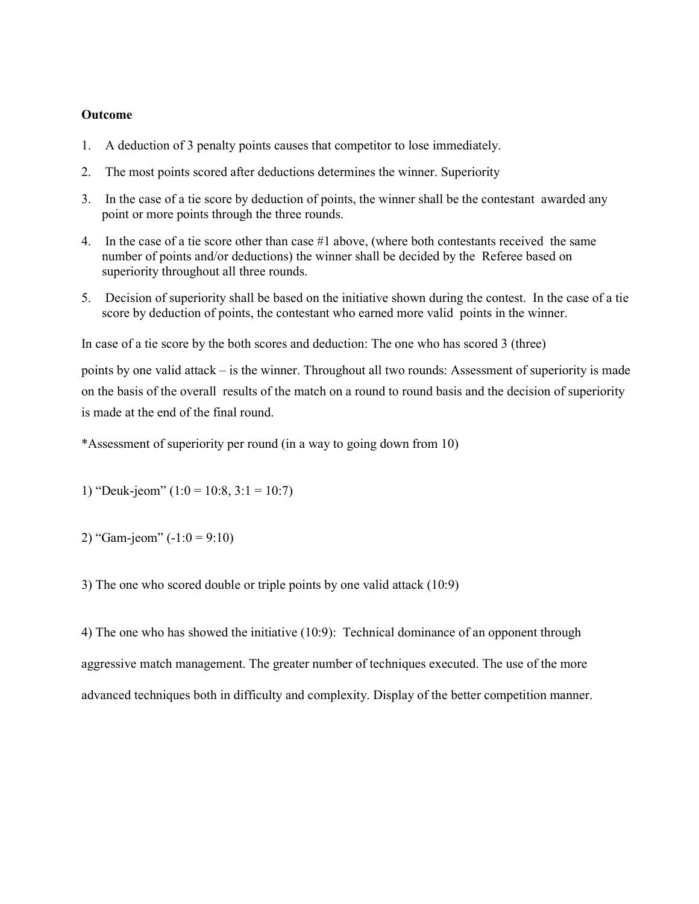#### Outcome

- 1. A deduction of 3 penalty points causes that competitor to lose immediately.
- 2. The most points scored after deductions determines the winner. Superiority
- 3. In the case of a tie score by deduction of points, the winner shall be the contestant awarded any point or more points through the three rounds.
- 4. In the case of a tie score other than case #1 above, (where both contestants received the same number of points and/or deductions) the winner shall be decided by the Referee based on superiority throughout all three rounds.
- 5. Decision of superiority shall be based on the initiative shown during the contest. In the case of a tie score by deduction of points, the contestant who earned more valid points in the winner.

In case of a tie score by the both scores and deduction: The one who has scored 3 (three)

points by one valid attack – is the winner. Throughout all two rounds: Assessment of superiority is made on the basis of the overall results of the match on a round to round basis and the decision of superiority is made at the end of the final round.

\*Assessment of superiority per round (in a way to going down from 10)

1) "Deuk-jeom"  $(1:0 = 10:8, 3:1 = 10:7)$ 

2) "Gam-jeom"  $(-1:0 = 9:10)$ 

3) The one who scored double or triple points by one valid attack (10:9)

4) The one who has showed the initiative (10:9): Technical dominance of an opponent through aggressive match management. The greater number of techniques executed. The use of the more advanced techniques both in difficulty and complexity. Display of the better competition manner.